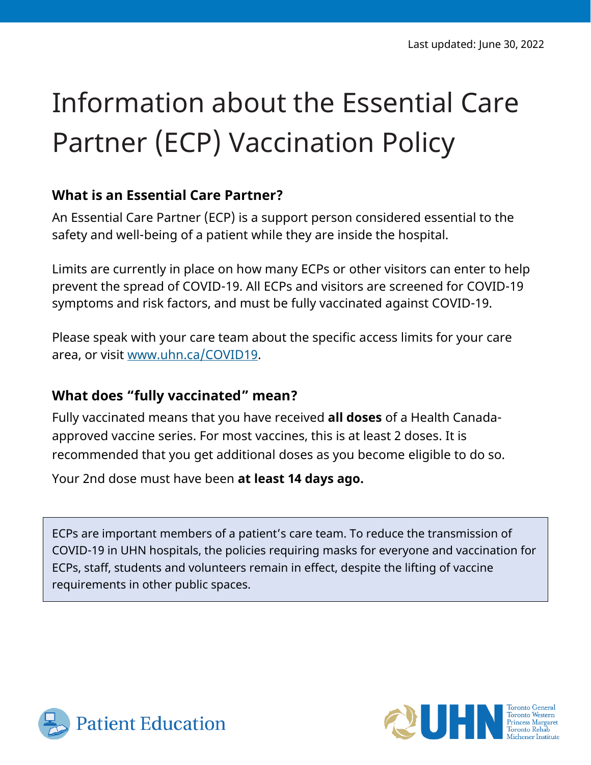# Information about the Essential Care Partner (ECP) Vaccination Policy

## **What is an Essential Care Partner?**

An Essential Care Partner (ECP) is a support person considered essential to the safety and well-being of a patient while they are inside the hospital.

Limits are currently in place on how many ECPs or other visitors can enter to help prevent the spread of COVID-19. All ECPs and visitors are screened for COVID-19 symptoms and risk factors, and must be fully vaccinated against COVID-19.

Please speak with your care team about the specific access limits for your care area, or visit [www.uhn.ca/COVID19.](http://www.uhn.ca/COVID19)

#### **What does "fully vaccinated" mean?**

Fully vaccinated means that you have received **all doses** of a Health Canadaapproved vaccine series. For most vaccines, this is at least 2 doses. It is recommended that you get additional doses as you become eligible to do so.

Your 2nd dose must have been **at least 14 days ago.**

ECPs are important members of a patient's care team. To reduce the transmission of COVID-19 in UHN hospitals, the policies requiring masks for everyone and vaccination for ECPs, staff, students and volunteers remain in effect, despite the lifting of vaccine requirements in other public spaces.